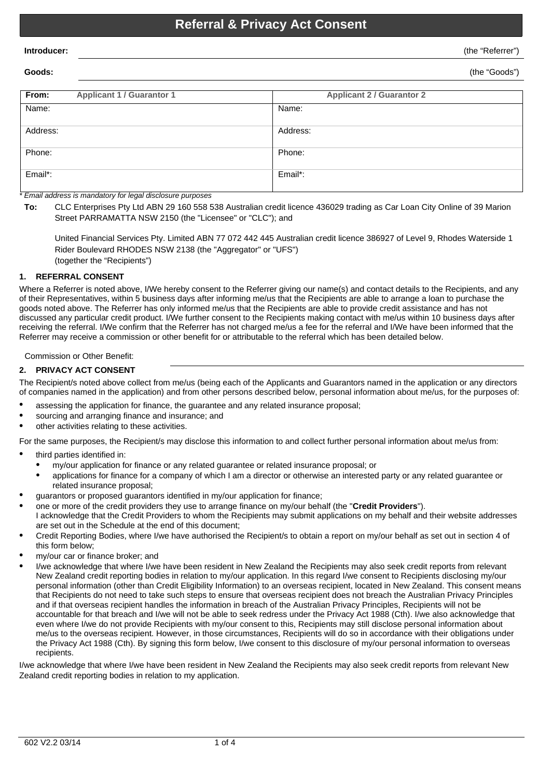# **Referral & Privacy Act Consent**

**Goods:** (the "Goods")

| From:    | <b>Applicant 1 / Guarantor 1</b> | <b>Applicant 2 / Guarantor 2</b> |
|----------|----------------------------------|----------------------------------|
| Name:    |                                  | Name:                            |
| Address: |                                  | Address:                         |
| Phone:   |                                  | Phone:                           |
| Email*:  |                                  | Email*:                          |

*\* Email address is mandatory for legal disclosure purposes*

**To:** CLC Enterprises Pty Ltd ABN 29 160 558 538 Australian credit licence 436029 trading as Car Loan City Online of 39 Marion Street PARRAMATTA NSW 2150 (the "Licensee" or "CLC"); and

United Financial Services Pty. Limited ABN 77 072 442 445 Australian credit licence 386927 of Level 9, Rhodes Waterside 1 Rider Boulevard RHODES NSW 2138 (the "Aggregator" or "UFS") (together the "Recipients")

# **1. REFERRAL CONSENT**

Where a Referrer is noted above, I/We hereby consent to the Referrer giving our name(s) and contact details to the Recipients, and any of their Representatives, within 5 business days after informing me/us that the Recipients are able to arrange a loan to purchase the goods noted above. The Referrer has only informed me/us that the Recipients are able to provide credit assistance and has not discussed any particular credit product. I/We further consent to the Recipients making contact with me/us within 10 business days after receiving the referral. I/We confirm that the Referrer has not charged me/us a fee for the referral and I/We have been informed that the Referrer may receive a commission or other benefit for or attributable to the referral which has been detailed below.

Commission or Other Benefit:

### **2. PRIVACY ACT CONSENT**

The Recipient/s noted above collect from me/us (being each of the Applicants and Guarantors named in the application or any directors of companies named in the application) and from other persons described below, personal information about me/us, for the purposes of:

- assessing the application for finance, the guarantee and any related insurance proposal;
- sourcing and arranging finance and insurance; and
- other activities relating to these activities.

For the same purposes, the Recipient/s may disclose this information to and collect further personal information about me/us from:

- third parties identified in:
	- · my/our application for finance or any related guarantee or related insurance proposal; or
	- applications for finance for a company of which I am a director or otherwise an interested party or any related quarantee or related insurance proposal;
- · guarantors or proposed guarantors identified in my/our application for finance;
- · one or more of the credit providers they use to arrange finance on my/our behalf (the "**Credit Providers**").
- I acknowledge that the Credit Providers to whom the Recipients may submit applications on my behalf and their website addresses are set out in the Schedule at the end of this document;
- Credit Reporting Bodies, where I/we have authorised the Recipient/s to obtain a report on my/our behalf as set out in section 4 of this form below;
- my/our car or finance broker; and
- I/we acknowledge that where I/we have been resident in New Zealand the Recipients may also seek credit reports from relevant New Zealand credit reporting bodies in relation to my/our application. In this regard I/we consent to Recipients disclosing my/our personal information (other than Credit Eligibility Information) to an overseas recipient, located in New Zealand. This consent means that Recipients do not need to take such steps to ensure that overseas recipient does not breach the Australian Privacy Principles and if that overseas recipient handles the information in breach of the Australian Privacy Principles, Recipients will not be accountable for that breach and I/we will not be able to seek redress under the Privacy Act 1988 (Cth). I/we also acknowledge that even where I/we do not provide Recipients with my/our consent to this, Recipients may still disclose personal information about me/us to the overseas recipient. However, in those circumstances, Recipients will do so in accordance with their obligations under the Privacy Act 1988 (Cth). By signing this form below, I/we consent to this disclosure of my/our personal information to overseas recipients.

I/we acknowledge that where I/we have been resident in New Zealand the Recipients may also seek credit reports from relevant New Zealand credit reporting bodies in relation to my application.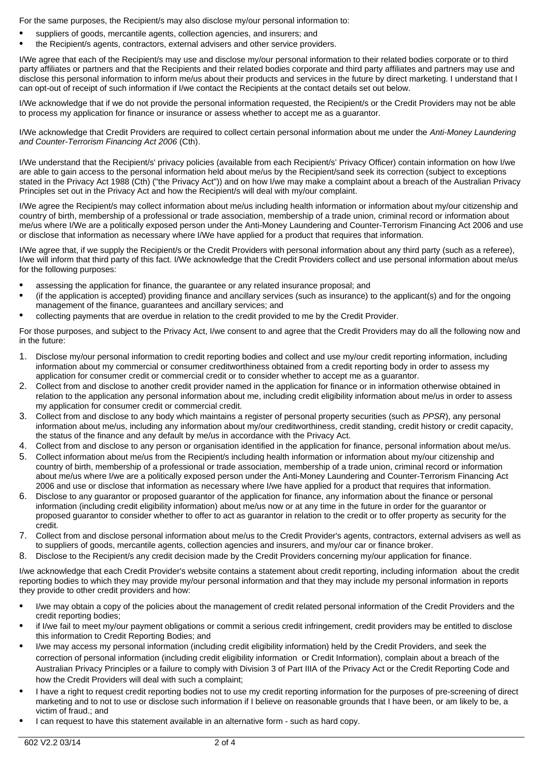For the same purposes, the Recipient/s may also disclose my/our personal information to:

- suppliers of goods, mercantile agents, collection agencies, and insurers; and
- the Recipient/s agents, contractors, external advisers and other service providers.

I/We agree that each of the Recipient/s may use and disclose my/our personal information to their related bodies corporate or to third party affiliates or partners and that the Recipients and their related bodies corporate and third party affiliates and partners may use and disclose this personal information to inform me/us about their products and services in the future by direct marketing. I understand that I can opt-out of receipt of such information if I/we contact the Recipients at the contact details set out below.

I/We acknowledge that if we do not provide the personal information requested, the Recipient/s or the Credit Providers may not be able to process my application for finance or insurance or assess whether to accept me as a guarantor.

I/We acknowledge that Credit Providers are required to collect certain personal information about me under the *Anti-Money Laundering and Counter-Terrorism Financing Act 2006* (Cth).

I/We understand that the Recipient/s' privacy policies (available from each Recipient/s' Privacy Officer) contain information on how I/we are able to gain access to the personal information held about me/us by the Recipient/sand seek its correction (subject to exceptions stated in the Privacy Act 1988 (Cth) ("the Privacy Act")) and on how I/we may make a complaint about a breach of the Australian Privacy Principles set out in the Privacy Act and how the Recipient/s will deal with my/our complaint.

I/We agree the Recipient/s may collect information about me/us including health information or information about my/our citizenship and country of birth, membership of a professional or trade association, membership of a trade union, criminal record or information about me/us where I/We are a politically exposed person under the Anti-Money Laundering and Counter-Terrorism Financing Act 2006 and use or disclose that information as necessary where I/We have applied for a product that requires that information.

I/We agree that, if we supply the Recipient/s or the Credit Providers with personal information about any third party (such as a referee), I/we will inform that third party of this fact. I/We acknowledge that the Credit Providers collect and use personal information about me/us for the following purposes:

- assessing the application for finance, the guarantee or any related insurance proposal; and
- · (if the application is accepted) providing finance and ancillary services (such as insurance) to the applicant(s) and for the ongoing management of the finance, guarantees and ancillary services; and
- · collecting payments that are overdue in relation to the credit provided to me by the Credit Provider.

For those purposes, and subject to the Privacy Act, I/we consent to and agree that the Credit Providers may do all the following now and in the future:

- 1. Disclose my/our personal information to credit reporting bodies and collect and use my/our credit reporting information, including information about my commercial or consumer creditworthiness obtained from a credit reporting body in order to assess my application for consumer credit or commercial credit or to consider whether to accept me as a guarantor.
- 2. Collect from and disclose to another credit provider named in the application for finance or in information otherwise obtained in relation to the application any personal information about me, including credit eligibility information about me/us in order to assess my application for consumer credit or commercial credit.
- 3. Collect from and disclose to any body which maintains a register of personal property securities (such as *PPSR*), any personal information about me/us, including any information about my/our creditworthiness, credit standing, credit history or credit capacity, the status of the finance and any default by me/us in accordance with the Privacy Act.
- 4. Collect from and disclose to any person or organisation identified in the application for finance, personal information about me/us. 5. Collect information about me/us from the Recipient/s including health information or information about my/our citizenship and
- country of birth, membership of a professional or trade association, membership of a trade union, criminal record or information about me/us where I/we are a politically exposed person under the Anti-Money Laundering and Counter-Terrorism Financing Act 2006 and use or disclose that information as necessary where I/we have applied for a product that requires that information.
- 6. Disclose to any guarantor or proposed guarantor of the application for finance, any information about the finance or personal information (including credit eligibility information) about me/us now or at any time in the future in order for the guarantor or proposed guarantor to consider whether to offer to act as guarantor in relation to the credit or to offer property as security for the credit.
- 7. Collect from and disclose personal information about me/us to the Credit Provider's agents, contractors, external advisers as well as to suppliers of goods, mercantile agents, collection agencies and insurers, and my/our car or finance broker.
- 8. Disclose to the Recipient/s any credit decision made by the Credit Providers concerning my/our application for finance.

I/we acknowledge that each Credit Provider's website contains a statement about credit reporting, including information about the credit reporting bodies to which they may provide my/our personal information and that they may include my personal information in reports they provide to other credit providers and how:

- · I/we may obtain a copy of the policies about the management of credit related personal information of the Credit Providers and the credit reporting bodies;
- if I/we fail to meet my/our payment obligations or commit a serious credit infringement, credit providers may be entitled to disclose this information to Credit Reporting Bodies; and
- · I/we may access my personal information (including credit eligibility information) held by the Credit Providers, and seek the correction of personal information (including credit eligibility information or Credit Information), complain about a breach of the Australian Privacy Principles or a failure to comply with Division 3 of Part IIIA of the Privacy Act or the Credit Reporting Code and how the Credit Providers will deal with such a complaint;
- · I have a right to request credit reporting bodies not to use my credit reporting information for the purposes of pre-screening of direct marketing and to not to use or disclose such information if I believe on reasonable grounds that I have been, or am likely to be, a victim of fraud.; and
- · I can request to have this statement available in an alternative form such as hard copy.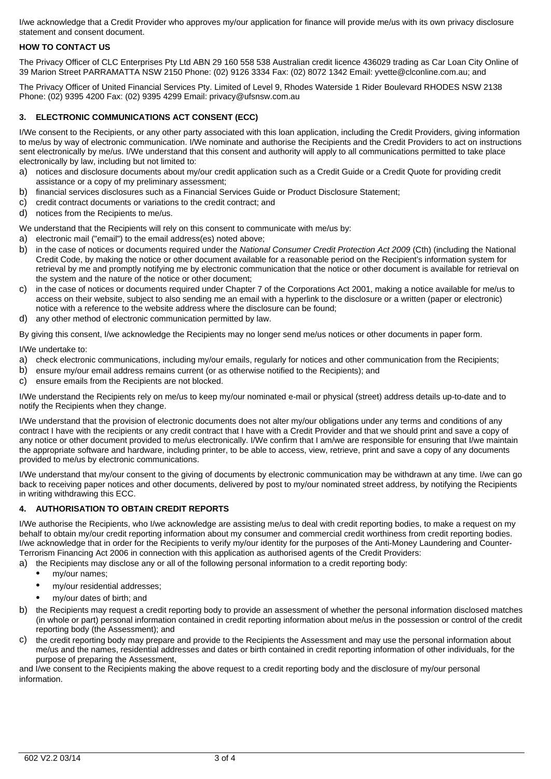I/we acknowledge that a Credit Provider who approves my/our application for finance will provide me/us with its own privacy disclosure statement and consent document.

# **HOW TO CONTACT US**

The Privacy Officer of CLC Enterprises Pty Ltd ABN 29 160 558 538 Australian credit licence 436029 trading as Car Loan City Online of 39 Marion Street PARRAMATTA NSW 2150 Phone: (02) 9126 3334 Fax: (02) 8072 1342 Email: yvette@clconline.com.au; and

The Privacy Officer of United Financial Services Pty. Limited of Level 9, Rhodes Waterside 1 Rider Boulevard RHODES NSW 2138 Phone: (02) 9395 4200 Fax: (02) 9395 4299 Email: privacy@ufsnsw.com.au

# **3. ELECTRONIC COMMUNICATIONS ACT CONSENT (ECC)**

I/We consent to the Recipients, or any other party associated with this loan application, including the Credit Providers, giving information to me/us by way of electronic communication. I/We nominate and authorise the Recipients and the Credit Providers to act on instructions sent electronically by me/us. I/We understand that this consent and authority will apply to all communications permitted to take place electronically by law, including but not limited to:

- a) notices and disclosure documents about my/our credit application such as a Credit Guide or a Credit Quote for providing credit assistance or a copy of my preliminary assessment;
- b) financial services disclosures such as a Financial Services Guide or Product Disclosure Statement;
- c) credit contract documents or variations to the credit contract; and
- d) notices from the Recipients to me/us.

We understand that the Recipients will rely on this consent to communicate with me/us by:

- a) electronic mail ("email") to the email address(es) noted above;
- b) in the case of notices or documents required under the *National Consumer Credit Protection Act 2009* (Cth) (including the National Credit Code, by making the notice or other document available for a reasonable period on the Recipient's information system for retrieval by me and promptly notifying me by electronic communication that the notice or other document is available for retrieval on the system and the nature of the notice or other document;
- c) in the case of notices or documents required under Chapter 7 of the Corporations Act 2001, making a notice available for me/us to access on their website, subject to also sending me an email with a hyperlink to the disclosure or a written (paper or electronic) notice with a reference to the website address where the disclosure can be found;
- d) any other method of electronic communication permitted by law.

By giving this consent, I/we acknowledge the Recipients may no longer send me/us notices or other documents in paper form.

I/We undertake to:

- a) check electronic communications, including my/our emails, regularly for notices and other communication from the Recipients;
- b) ensure my/our email address remains current (or as otherwise notified to the Recipients); and
- c) ensure emails from the Recipients are not blocked.

I/We understand the Recipients rely on me/us to keep my/our nominated e-mail or physical (street) address details up-to-date and to notify the Recipients when they change.

I/We understand that the provision of electronic documents does not alter my/our obligations under any terms and conditions of any contract I have with the recipients or any credit contract that I have with a Credit Provider and that we should print and save a copy of any notice or other document provided to me/us electronically. I/We confirm that I am/we are responsible for ensuring that I/we maintain the appropriate software and hardware, including printer, to be able to access, view, retrieve, print and save a copy of any documents provided to me/us by electronic communications.

I/We understand that my/our consent to the giving of documents by electronic communication may be withdrawn at any time. I/we can go back to receiving paper notices and other documents, delivered by post to my/our nominated street address, by notifying the Recipients in writing withdrawing this ECC.

### **4. AUTHORISATION TO OBTAIN CREDIT REPORTS**

I/We authorise the Recipients, who I/we acknowledge are assisting me/us to deal with credit reporting bodies, to make a request on my behalf to obtain my/our credit reporting information about my consumer and commercial credit worthiness from credit reporting bodies. I/we acknowledge that in order for the Recipients to verify my/our identity for the purposes of the Anti-Money Laundering and Counter-Terrorism Financing Act 2006 in connection with this application as authorised agents of the Credit Providers:

- a) the Recipients may disclose any or all of the following personal information to a credit reporting body:
	- my/our names;
	- · my/our residential addresses;
	- my/our dates of birth; and
- b) the Recipients may request a credit reporting body to provide an assessment of whether the personal information disclosed matches (in whole or part) personal information contained in credit reporting information about me/us in the possession or control of the credit reporting body (the Assessment); and
- c) the credit reporting body may prepare and provide to the Recipients the Assessment and may use the personal information about me/us and the names, residential addresses and dates or birth contained in credit reporting information of other individuals, for the purpose of preparing the Assessment,

and I/we consent to the Recipients making the above request to a credit reporting body and the disclosure of my/our personal information.